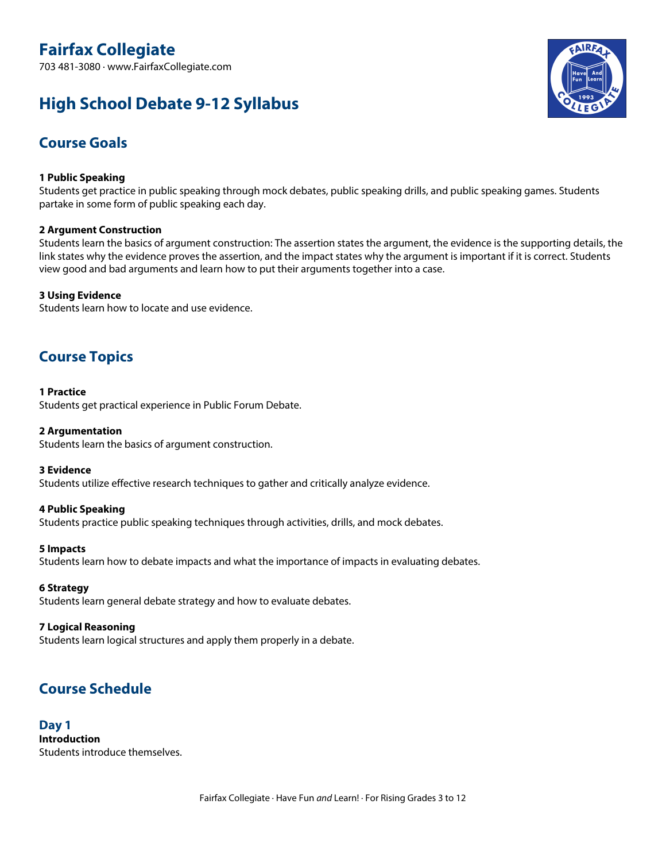703 481-3080 · www.FairfaxCollegiate.com

# **High School Debate 9-12 Syllabus**



# **Course Goals**

# **1 Public Speaking**

Students get practice in public speaking through mock debates, public speaking drills, and public speaking games. Students partake in some form of public speaking each day.

# **2 Argument Construction**

Students learn the basics of argument construction: The assertion states the argument, the evidence is the supporting details, the link states why the evidence proves the assertion, and the impact states why the argument is important if it is correct. Students view good and bad arguments and learn how to put their arguments together into a case.

# **3 Using Evidence**

Students learn how to locate and use evidence.

# **Course Topics**

# **1 Practice**

Students get practical experience in Public Forum Debate.

## **2 Argumentation**

Students learn the basics of argument construction.

#### **3 Evidence**

Students utilize effective research techniques to gather and critically analyze evidence.

# **4 Public Speaking**

Students practice public speaking techniques through activities, drills, and mock debates.

# **5 Impacts**

Students learn how to debate impacts and what the importance of impacts in evaluating debates.

# **6 Strategy**

Students learn general debate strategy and how to evaluate debates.

# **7 Logical Reasoning**

Students learn logical structures and apply them properly in a debate.

# **Course Schedule**

# **Day 1 Introduction** Students introduce themselves.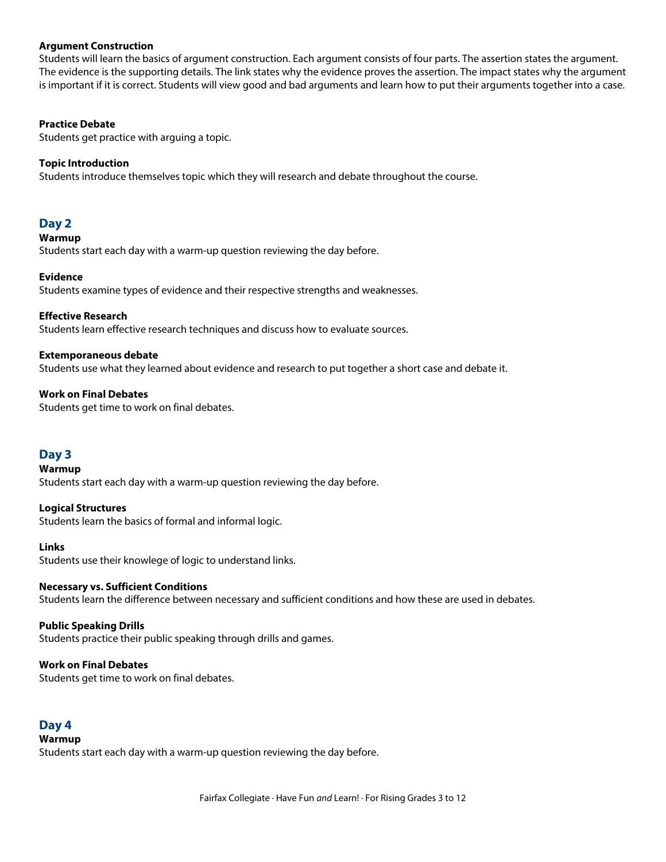## **Argument Construction**

Students will learn the basics of argument construction. Each argument consists of four parts. The assertion states the argument. The evidence is the supporting details. The link states why the evidence proves the assertion. The impact states why the argument is important if it is correct. Students will view good and bad arguments and learn how to put their arguments together into a case.

# **Practice Debate**

Students get practice with arguing a topic.

# **Topic Introduction**

Students introduce themselves topic which they will research and debate throughout the course.

# **Day 2**

#### **Warmup**

Students start each day with a warm-up question reviewing the day before.

## **Evidence**

Students examine types of evidence and their respective strengths and weaknesses.

### **Effective Research**

Students learn effective research techniques and discuss how to evaluate sources.

### **Extemporaneous debate**

Students use what they learned about evidence and research to put together a short case and debate it.

# **Work on Final Debates**

Students get time to work on final debates.

# **Day 3**

#### **Warmup**

Students start each day with a warm-up question reviewing the day before.

#### **Logical Structures**

Students learn the basics of formal and informal logic.

#### **Links**

Students use their knowlege of logic to understand links.

# **Necessary vs. Sufficient Conditions**

Students learn the difference between necessary and sufficient conditions and how these are used in debates.

#### **Public Speaking Drills**

Students practice their public speaking through drills and games.

# **Work on Final Debates**

Students get time to work on final debates.

# **Day 4**

# **Warmup**

Students start each day with a warm-up question reviewing the day before.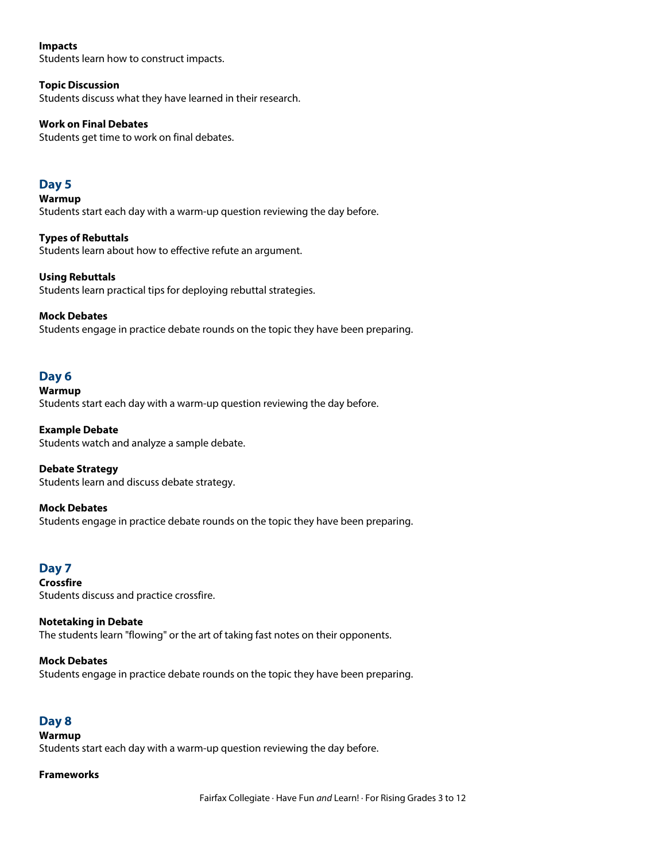# **Impacts**

Students learn how to construct impacts.

# **Topic Discussion**

Students discuss what they have learned in their research.

# **Work on Final Debates**

Students get time to work on final debates.

# **Day 5**

**Warmup** Students start each day with a warm-up question reviewing the day before.

**Types of Rebuttals** Students learn about how to effective refute an argument.

# **Using Rebuttals**

Students learn practical tips for deploying rebuttal strategies.

# **Mock Debates**

Students engage in practice debate rounds on the topic they have been preparing.

# **Day 6**

## **Warmup**

Students start each day with a warm-up question reviewing the day before.

# **Example Debate**

Students watch and analyze a sample debate.

**Debate Strategy** Students learn and discuss debate strategy.

# **Mock Debates**

Students engage in practice debate rounds on the topic they have been preparing.

# **Day 7**

**Crossfire** Students discuss and practice crossfire.

### **Notetaking in Debate** The students learn "flowing" or the art of taking fast notes on their opponents.

# **Mock Debates**

Students engage in practice debate rounds on the topic they have been preparing.

# **Day 8**

**Warmup** Students start each day with a warm-up question reviewing the day before.

# **Frameworks**